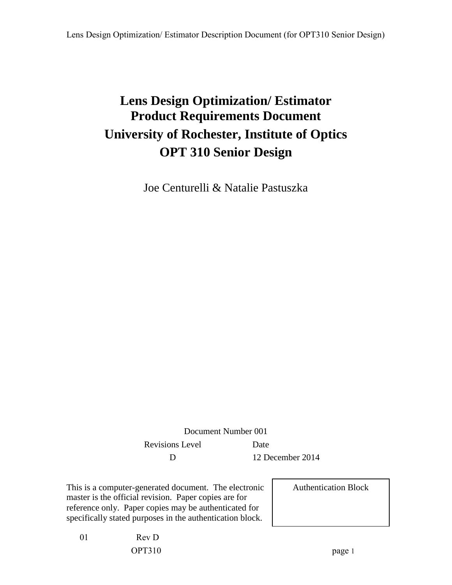# **Lens Design Optimization/ Estimator Product Requirements Document University of Rochester, Institute of Optics OPT 310 Senior Design**

Joe Centurelli & Natalie Pastuszka

Document Number 001 Revisions Level Date D 12 December 2014

This is a computer-generated document. The electronic master is the official revision. Paper copies are for reference only. Paper copies may be authenticated for specifically stated purposes in the authentication block.

Authentication Block

01 Rev D OPT310 page 1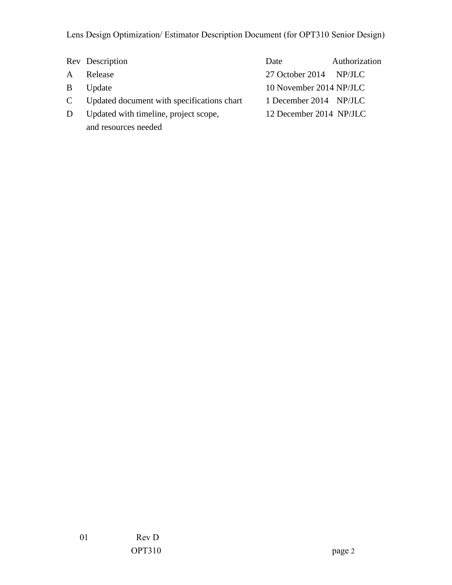|    | Rev Description                              | Date                    | Authorization |
|----|----------------------------------------------|-------------------------|---------------|
| A  | Release                                      | 27 October 2014 NP/JLC  |               |
| B. | Update                                       | 10 November 2014 NP/JLC |               |
|    | C Updated document with specifications chart | 1 December 2014 NP/JLC  |               |
| D  | Updated with timeline, project scope,        | 12 December 2014 NP/JLC |               |
|    | and resources needed                         |                         |               |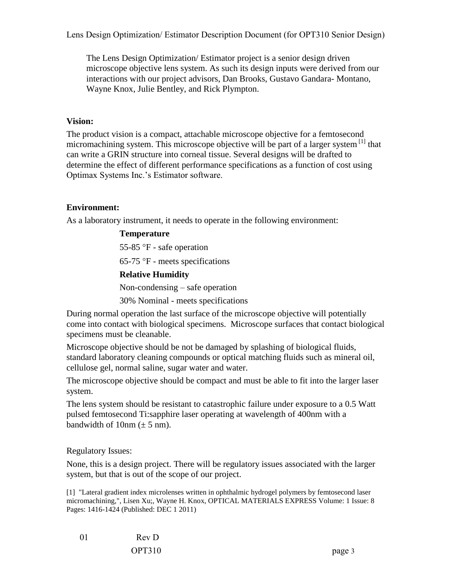The Lens Design Optimization/ Estimator project is a senior design driven microscope objective lens system. As such its design inputs were derived from our interactions with our project advisors, Dan Brooks, Gustavo Gandara- Montano, Wayne Knox, Julie Bentley, and Rick Plympton.

#### **Vision:**

The product vision is a compact, attachable microscope objective for a femtosecond micromachining system. This microscope objective will be part of a larger system  $\frac{1}{1}$  that can write a GRIN structure into corneal tissue. Several designs will be drafted to determine the effect of different performance specifications as a function of cost using Optimax Systems Inc.'s Estimator software.

## **Environment:**

As a laboratory instrument, it needs to operate in the following environment:

#### **Temperature**

55-85 °F - safe operation  $65-75$  °F - meets specifications **Relative Humidity** Non-condensing – safe operation 30% Nominal - meets specifications

During normal operation the last surface of the microscope objective will potentially come into contact with biological specimens. Microscope surfaces that contact biological specimens must be cleanable.

Microscope objective should be not be damaged by splashing of biological fluids, standard laboratory cleaning compounds or optical matching fluids such as mineral oil, cellulose gel, normal saline, sugar water and water.

The microscope objective should be compact and must be able to fit into the larger laser system.

The lens system should be resistant to catastrophic failure under exposure to a 0.5 Watt pulsed femtosecond Ti:sapphire laser operating at wavelength of 400nm with a bandwidth of  $10nm (\pm 5 nm)$ .

Regulatory Issues:

None, this is a design project. There will be regulatory issues associated with the larger system, but that is out of the scope of our project.

[1] "Lateral gradient index microlenses written in ophthalmic hydrogel polymers by femtosecond laser micromachining,", Lisen Xu;, Wayne H. Knox, OPTICAL MATERIALS EXPRESS Volume: 1 Issue: 8 Pages: 1416-1424 (Published: DEC 1 2011)

01 Rev D OPT310 page 3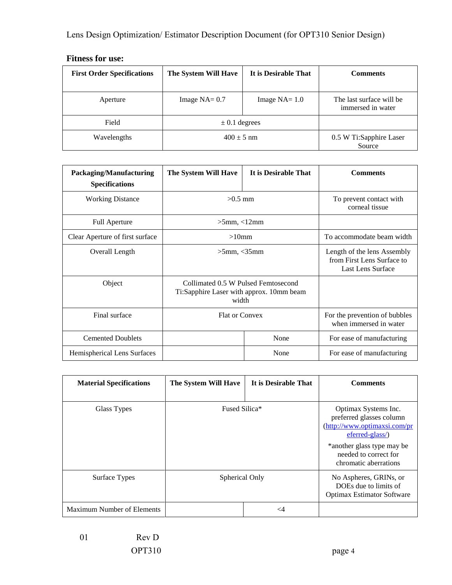| <b>First Order Specifications</b> | The System Will Have | It is Desirable That | <b>Comments</b>                               |
|-----------------------------------|----------------------|----------------------|-----------------------------------------------|
| Aperture                          | Image $NA = 0.7$     | Image $NA = 1.0$     | The last surface will be<br>immersed in water |
| Field                             | $\pm$ 0.1 degrees    |                      |                                               |
| Wavelengths                       | $400 \pm 5$ nm       |                      | 0.5 W Ti:Sapphire Laser<br>Source             |

## **Fitness for use:**

| Packaging/Manufacturing<br><b>Specifications</b> | The System Will Have                                                                     | It is Desirable That | <b>Comments</b>                                                                |
|--------------------------------------------------|------------------------------------------------------------------------------------------|----------------------|--------------------------------------------------------------------------------|
| <b>Working Distance</b>                          | $>0.5$ mm                                                                                |                      | To prevent contact with<br>corneal tissue                                      |
| <b>Full Aperture</b>                             | $>5$ mm, $<12$ mm                                                                        |                      |                                                                                |
| Clear Aperture of first surface                  | $>10$ mm                                                                                 |                      | To accommodate beam width                                                      |
| Overall Length                                   | $>5$ mm, $<$ 35mm                                                                        |                      | Length of the lens Assembly<br>from First Lens Surface to<br>Last Lens Surface |
| Object                                           | Collimated 0.5 W Pulsed Femtosecond<br>Ti:Sapphire Laser with approx. 10mm beam<br>width |                      |                                                                                |
| Final surface                                    | <b>Flat or Convex</b>                                                                    |                      | For the prevention of bubbles<br>when immersed in water                        |
| <b>Cemented Doublets</b>                         |                                                                                          | None                 | For ease of manufacturing                                                      |
| Hemispherical Lens Surfaces                      |                                                                                          | None                 | For ease of manufacturing                                                      |

| <b>Material Specifications</b>    | The System Will Have | It is Desirable That | <b>Comments</b>                                                                                                                                                                     |
|-----------------------------------|----------------------|----------------------|-------------------------------------------------------------------------------------------------------------------------------------------------------------------------------------|
| Glass Types                       | Fused Silica*        |                      | Optimax Systems Inc.<br>preferred glasses column<br>(http://www.optimaxsi.com/pr<br>eferred-glass/)<br>*another glass type may be<br>needed to correct for<br>chromatic aberrations |
| Surface Types                     | Spherical Only       |                      | No Aspheres, GRINs, or<br>DOEs due to limits of<br><b>Optimax Estimator Software</b>                                                                                                |
| <b>Maximum Number of Elements</b> |                      | $\leq$ 4             |                                                                                                                                                                                     |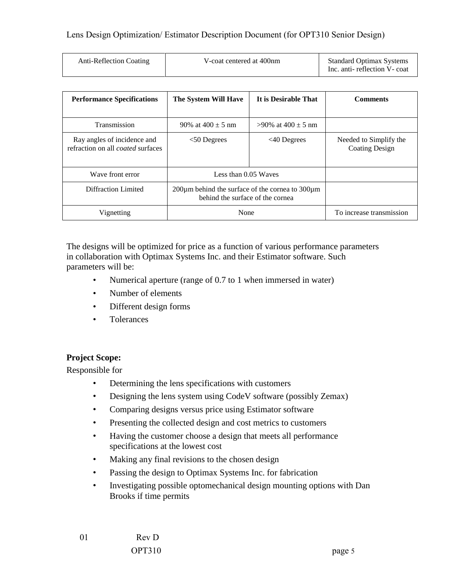| Anti-Reflection Coating | V-coat centered at 400nm | <b>Standard Optimax Systems</b><br>Inc. anti-reflection V-coat |
|-------------------------|--------------------------|----------------------------------------------------------------|
|-------------------------|--------------------------|----------------------------------------------------------------|

| <b>Performance Specifications</b>                                       | The System Will Have                                                                          | It is Desirable That      | <b>Comments</b>                                 |
|-------------------------------------------------------------------------|-----------------------------------------------------------------------------------------------|---------------------------|-------------------------------------------------|
| <b>Transmission</b>                                                     | 90\% at $400 \pm 5$ nm                                                                        | $>90\%$ at 400 $\pm$ 5 nm |                                                 |
| Ray angles of incidence and<br>refraction on all <i>coated</i> surfaces | $<$ 50 Degrees                                                                                | $\leq 40$ Degrees         | Needed to Simplify the<br><b>Coating Design</b> |
| Wave front error                                                        | Less than 0.05 Waves                                                                          |                           |                                                 |
| Diffraction Limited                                                     | $200\mu$ m behind the surface of the cornea to $300\mu$ m<br>behind the surface of the cornea |                           |                                                 |
| Vignetting                                                              | None                                                                                          |                           | To increase transmission                        |

The designs will be optimized for price as a function of various performance parameters in collaboration with Optimax Systems Inc. and their Estimator software. Such parameters will be:

- Numerical aperture (range of 0.7 to 1 when immersed in water)
- Number of elements
- Different design forms
- Tolerances

## **Project Scope:**

Responsible for

- Determining the lens specifications with customers
- Designing the lens system using CodeV software (possibly Zemax)
- Comparing designs versus price using Estimator software
- Presenting the collected design and cost metrics to customers
- Having the customer choose a design that meets all performance specifications at the lowest cost
- Making any final revisions to the chosen design
- Passing the design to Optimax Systems Inc. for fabrication
- Investigating possible optomechanical design mounting options with Dan Brooks if time permits